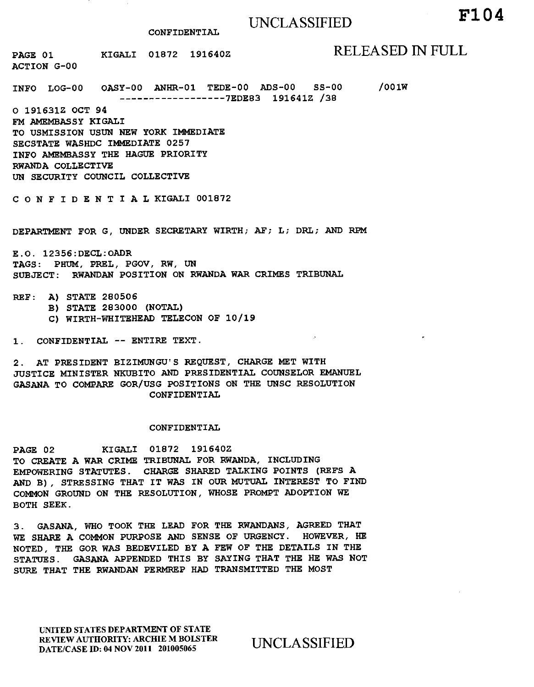# UNCLASSIFIED **F104**

PAGE 01 KIGALI 01872 191640Z RELEASED IN FULL ACTION G-00

INFO LOG-00 OASY-00 ANHR-01 TEDE-00 ADS-00 SS-00 /001W -----------------7EDE83 191641Z /38

O 191631Z OCT 94 FM AMEMBASSY KIGALI TO USMISSION USUN NEW YORK IMMEDIATE SECSTATE WASHDC IMMEDIATE 0257 INFO AMEMBASSY THE HAGUE PRIORITY RWANDA COLLECTIVE UN SECURITY COUNCIL COLLECTIVE

CONFIDENTIALKIGALI 001872

DEPARTMENT FOR G, UNDER SECRETARY WIRTH; AF; L; DRL; AND RPM

E.O. 12356:DECL:OADR TAGS: PHUM, PREL, PGOV, RW, UN SUBJECT: RWANDAN POSITION ON RWANDA WAR CRIMES TRIBUNAL

REF: A) STATE 280506

- B) STATE 283000 (NOTAL)
- C) WIRTH-WHITEHEAD TELECON OF 10/19

1. CONFIDENTIAL -- ENTIRE TEXT.

2. AT PRESIDENT BIZIMUNGU'S REQUEST, CHARGE MET WITH JUSTICE MINISTER NKUBITO AND PRESIDENTIAL COUNSELOR EMANUEL GASANA TO COMPARE GOR/USG POSITIONS ON THE UNSC RESOLUTION CONFIDENTIAL

#### CONFIDENTIAL

PAGE 02 KIGALI 01872 191640Z TO CREATE A WAR CRIME TRIBUNAL FOR RWANDA, INCLUDING EMPOWERING STATUTES. CHARGE SHARED TALKING POINTS (REFS A AND B), STRESSING THAT IT WAS IN OUR MUTUAL INTEREST TO FIND COMMON GROUND ON THE RESOLUTION, WHOSE PROMPT ADOPTION WE BOTH SEEK.

3. GASANA, WHO TOOK THE LEAD FOR THE RWANDANS, AGREED THAT WE SHARE A COMMON PURPOSE AND SENSE OF URGENCY. HOWEVER, HE NOTED, THE GOR WAS BEDEVILED BY A FEW OF THE DETAILS IN THE STATUES. GASANA APPENDED THIS BY SAYING THAT THE HE WAS NOT SURE THAT THE RWANDAN PERMREP HAD TRANSMITTED THE MOST

UNITED STATES DEPARTMENT OF STATE REVIEW AUTHORITY: ARCHIE M BOLSTER REVIEW AUTHORITY: ARCHIE M BOLSTER UNCLASSIFIED<br>DATE/CASE ID: 04 NOV 2011 201005065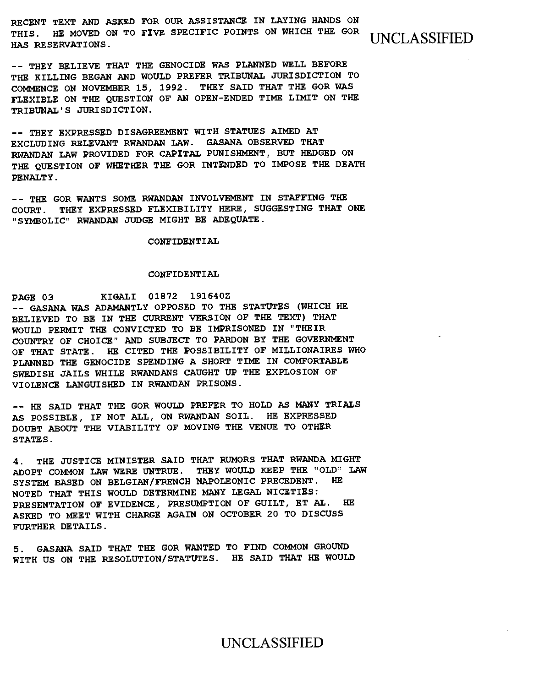**RECENT TEXT AND ASKED FOR OUR ASSISTANCE IN LAYING HANDS ON**  THIS. HE MOVED ON TO FIVE SPECIFIC POINTS ON WHICH THE GOR **UNCLASSIFIED** 

**-- THEY BELIEVE THAT THE GENOCIDE WAS PLANNED WELL BEFORE THE KILLING BEGAN AND WOULD PREFER TRIBUNAL JURISDICTION TO COMMENCE ON NOVEMBER 15, 1992. THEY SAID THAT THE GOR WAS FLEXIBLE ON THE QUESTION OF AN OPEN-ENDED TIME LIMIT ON THE TRIBUNAL'S JURISDICTION.** 

**-- THEY EXPRESSED DISAGREEMENT WITH STATUES AIMED AT EXCLUDING RELEVANT RWANDAN LAW. GASANA OBSERVED THAT RWANDAN LAW PROVIDED FOR CAPITAL PUNISHMENT, BUT HEDGED ON THE QUESTION OF WHETHER THE GOR INTENDED TO IMPOSE THE DEATH PENALTY.** 

**-- THE GOR WANTS SOME RWANDAN INVOLVEMENT IN STAFFING THE COURT. THEY EXPRESSED FLEXIBILITY HERE, SUGGESTING THAT ONE "SYMBOLIC" RWANDAN JUDGE MIGHT BE ADEQUATE.** 

**CONFIDENTIAL** 

#### **CONFIDENTIAL**

**PAGE 03 KIGALI 01872 191640Z - GASANA WAS ADAMANTLY OPPOSED TO THE STATUTES (WHICH HE BELIEVED TO BE IN THE CURRENT VERSION OF THE TEXT) THAT WOULD PERMIT THE CONVICTED TO BE IMPRISONED IN "THEIR COUNTRY OF CHOICE" AND SUBJECT TO PARDON BY THE GOVERNMENT OF THAT STATE. HE CITED THE POSSIBILITY OF MILLIONAIRES WHO PLANNED THE GENOCIDE SPENDING A SHORT TIME IN COMFORTABLE SWEDISH JAILS WHILE RWANDANS CAUGHT UP THE EXPLOSION OF VIOLENCE LANGUISHED IN RWANDAN PRISONS.** 

**-- HE SAID THAT THE GOR WOULD PREFER TO HOLD AS MANY TRIALS AS POSSIBLE, IF NOT ALL, ON RWANDAN SOIL. HE EXPRESSED DOUBT ABOUT THE VIABILITY OF MOVING THE VENUE TO OTHER STATES.** 

**4. THE JUSTICE MINISTER SAID THAT RUMORS THAT RWANDA MIGHT ADOPT COMMON LAW WERE UNTRUE. THEY WOULD KEEP THE "OLD" LAW SYSTEM BASED ON BELGIAN/FRENCH NAPOLEONIC PRECEDENT. HE NOTED THAT THIS WOULD DETERMINE MANY LEGAL NICETIES: PRESENTATION OF EVIDENCE, PRESUMPTION OF GUILT, ET AL. HE ASKED TO MEET WITH CHARGE AGAIN ON OCTOBER 20 TO DISCUSS FURTHER DETAILS.** 

**5. GASANA SAID THAT THE GOR WANTED TO FIND COMMON GROUND WITH US ON THE RESOLUTION/STATUTES. HE SAID THAT HE WOULD** 

## UNCLASSIFIED